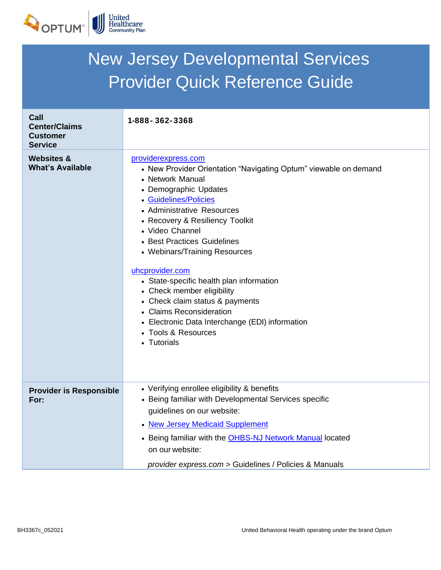

| <b>New Jersey Developmental Services</b>                          |                                                                                                                                                                                                                                                                                                                                                                                                                                                                                                                                                                        |  |
|-------------------------------------------------------------------|------------------------------------------------------------------------------------------------------------------------------------------------------------------------------------------------------------------------------------------------------------------------------------------------------------------------------------------------------------------------------------------------------------------------------------------------------------------------------------------------------------------------------------------------------------------------|--|
| <b>Provider Quick Reference Guide</b>                             |                                                                                                                                                                                                                                                                                                                                                                                                                                                                                                                                                                        |  |
| Call<br><b>Center/Claims</b><br><b>Customer</b><br><b>Service</b> | 1-888 - 362 - 3368                                                                                                                                                                                                                                                                                                                                                                                                                                                                                                                                                     |  |
| <b>Websites &amp;</b><br><b>What's Available</b>                  | providerexpress.com<br>• New Provider Orientation "Navigating Optum" viewable on demand<br>• Network Manual<br>• Demographic Updates<br>• Guidelines/Policies<br>• Administrative Resources<br>• Recovery & Resiliency Toolkit<br>• Video Channel<br>• Best Practices Guidelines<br>• Webinars/Training Resources<br>uhcprovider.com<br>• State-specific health plan information<br>• Check member eligibility<br>• Check claim status & payments<br>• Claims Reconsideration<br>• Electronic Data Interchange (EDI) information<br>• Tools & Resources<br>• Tutorials |  |
| <b>Provider is Responsible</b><br>For:                            | • Verifying enrollee eligibility & benefits<br>• Being familiar with Developmental Services specific<br>guidelines on our website:<br>• New Jersey Medicaid Supplement<br>• Being familiar with the <b>OHBS-NJ Network Manual located</b><br>on our website:<br>provider express.com > Guidelines / Policies & Manuals                                                                                                                                                                                                                                                 |  |